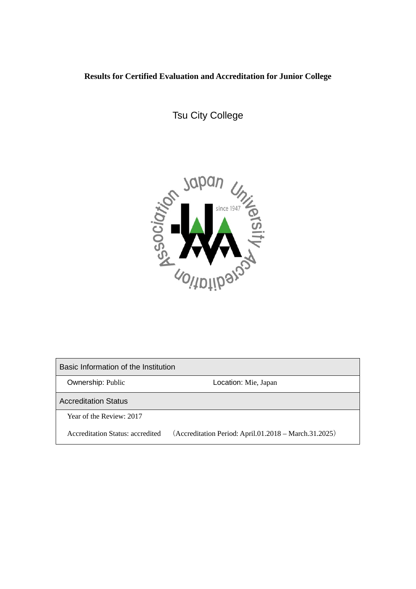# **Results for Certified Evaluation and Accreditation for Junior College**

Tsu City College



Basic Information of the Institution Ownership: Public **Location: Mie, Japan** Accreditation Status Year of the Review: 2017 Accreditation Status: accredited (Accreditation Period: April.01.2018 – March.31.2025)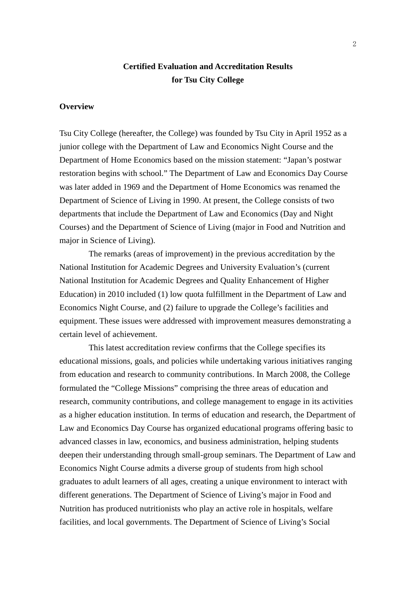# **Certified Evaluation and Accreditation Results for Tsu City College**

## **Overview**

Tsu City College (hereafter, the College) was founded by Tsu City in April 1952 as a junior college with the Department of Law and Economics Night Course and the Department of Home Economics based on the mission statement: "Japan's postwar restoration begins with school." The Department of Law and Economics Day Course was later added in 1969 and the Department of Home Economics was renamed the Department of Science of Living in 1990. At present, the College consists of two departments that include the Department of Law and Economics (Day and Night Courses) and the Department of Science of Living (major in Food and Nutrition and major in Science of Living).

The remarks (areas of improvement) in the previous accreditation by the National Institution for Academic Degrees and University Evaluation's (current National Institution for Academic Degrees and Quality Enhancement of Higher Education) in 2010 included (1) low quota fulfillment in the Department of Law and Economics Night Course, and (2) failure to upgrade the College's facilities and equipment. These issues were addressed with improvement measures demonstrating a certain level of achievement.

This latest accreditation review confirms that the College specifies its educational missions, goals, and policies while undertaking various initiatives ranging from education and research to community contributions. In March 2008, the College formulated the "College Missions" comprising the three areas of education and research, community contributions, and college management to engage in its activities as a higher education institution. In terms of education and research, the Department of Law and Economics Day Course has organized educational programs offering basic to advanced classes in law, economics, and business administration, helping students deepen their understanding through small-group seminars. The Department of Law and Economics Night Course admits a diverse group of students from high school graduates to adult learners of all ages, creating a unique environment to interact with different generations. The Department of Science of Living's major in Food and Nutrition has produced nutritionists who play an active role in hospitals, welfare facilities, and local governments. The Department of Science of Living's Social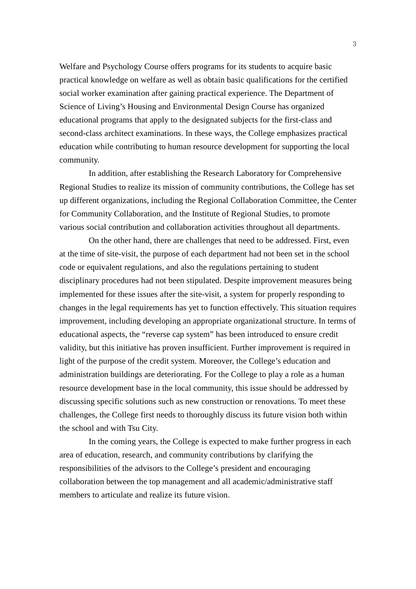Welfare and Psychology Course offers programs for its students to acquire basic practical knowledge on welfare as well as obtain basic qualifications for the certified social worker examination after gaining practical experience. The Department of Science of Living's Housing and Environmental Design Course has organized educational programs that apply to the designated subjects for the first-class and second-class architect examinations. In these ways, the College emphasizes practical education while contributing to human resource development for supporting the local community.

In addition, after establishing the Research Laboratory for Comprehensive Regional Studies to realize its mission of community contributions, the College has set up different organizations, including the Regional Collaboration Committee, the Center for Community Collaboration, and the Institute of Regional Studies, to promote various social contribution and collaboration activities throughout all departments.

On the other hand, there are challenges that need to be addressed. First, even at the time of site-visit, the purpose of each department had not been set in the school code or equivalent regulations, and also the regulations pertaining to student disciplinary procedures had not been stipulated. Despite improvement measures being implemented for these issues after the site-visit, a system for properly responding to changes in the legal requirements has yet to function effectively. This situation requires improvement, including developing an appropriate organizational structure. In terms of educational aspects, the "reverse cap system" has been introduced to ensure credit validity, but this initiative has proven insufficient. Further improvement is required in light of the purpose of the credit system. Moreover, the College's education and administration buildings are deteriorating. For the College to play a role as a human resource development base in the local community, this issue should be addressed by discussing specific solutions such as new construction or renovations. To meet these challenges, the College first needs to thoroughly discuss its future vision both within the school and with Tsu City.

In the coming years, the College is expected to make further progress in each area of education, research, and community contributions by clarifying the responsibilities of the advisors to the College's president and encouraging collaboration between the top management and all academic/administrative staff members to articulate and realize its future vision.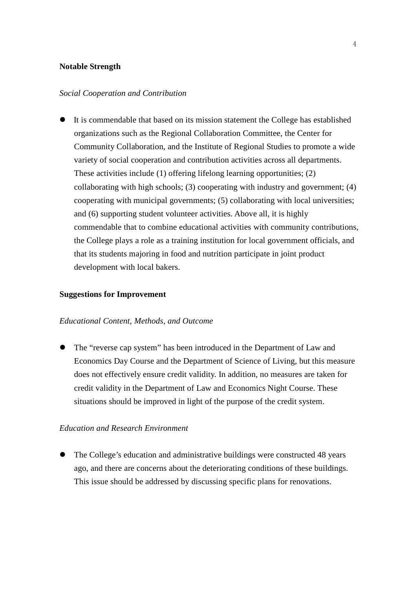### **Notable Strength**

#### *Social Cooperation and Contribution*

 It is commendable that based on its mission statement the College has established organizations such as the Regional Collaboration Committee, the Center for Community Collaboration, and the Institute of Regional Studies to promote a wide variety of social cooperation and contribution activities across all departments. These activities include (1) offering lifelong learning opportunities; (2) collaborating with high schools; (3) cooperating with industry and government; (4) cooperating with municipal governments; (5) collaborating with local universities; and (6) supporting student volunteer activities. Above all, it is highly commendable that to combine educational activities with community contributions, the College plays a role as a training institution for local government officials, and that its students majoring in food and nutrition participate in joint product development with local bakers.

#### **Suggestions for Improvement**

# *Educational Content, Methods, and Outcome*

 The "reverse cap system" has been introduced in the Department of Law and Economics Day Course and the Department of Science of Living, but this measure does not effectively ensure credit validity. In addition, no measures are taken for credit validity in the Department of Law and Economics Night Course. These situations should be improved in light of the purpose of the credit system.

## *Education and Research Environment*

• The College's education and administrative buildings were constructed 48 years ago, and there are concerns about the deteriorating conditions of these buildings. This issue should be addressed by discussing specific plans for renovations.